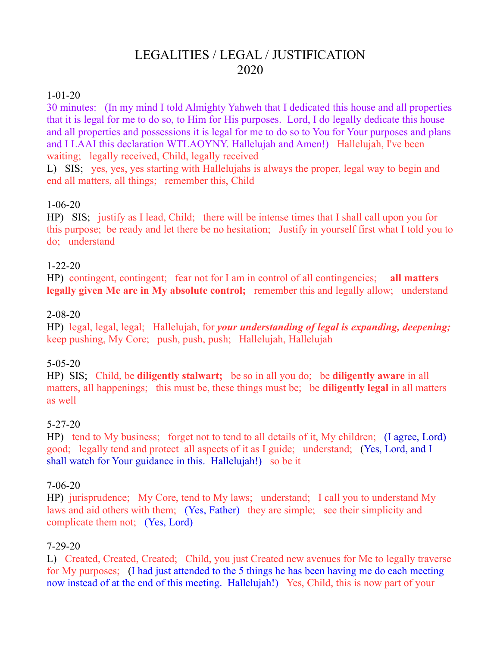# LEGALITIES / LEGAL / JUSTIFICATION 2020

#### 1-01-20

30 minutes: (In my mind I told Almighty Yahweh that I dedicated this house and all properties that it is legal for me to do so, to Him for His purposes. Lord, I do legally dedicate this house and all properties and possessions it is legal for me to do so to You for Your purposes and plans and I LAAI this declaration WTLAOYNY. Hallelujah and Amen!) Hallelujah, I've been waiting; legally received, Child, legally received

L) SIS; yes, yes, yes starting with Hallelujahs is always the proper, legal way to begin and end all matters, all things; remember this, Child

#### 1-06-20

HP) SIS; justify as I lead, Child; there will be intense times that I shall call upon you for this purpose; be ready and let there be no hesitation; Justify in yourself first what I told you to do; understand

#### 1-22-20

HP) contingent, contingent; fear not for I am in control of all contingencies; **all matters legally given Me are in My absolute control;** remember this and legally allow; understand

#### 2-08-20

HP) legal, legal, legal; Hallelujah, for *your understanding of legal is expanding, deepening;*  keep pushing, My Core; push, push, push; Hallelujah, Hallelujah

#### 5-05-20

HP) SIS; Child, be **diligently stalwart;** be so in all you do; be **diligently aware** in all matters, all happenings; this must be, these things must be; be **diligently legal** in all matters as well

#### 5-27-20

HP) tend to My business; forget not to tend to all details of it, My children; (I agree, Lord) good; legally tend and protect all aspects of it as I guide; understand; (Yes, Lord, and I shall watch for Your guidance in this. Hallelujah!) so be it

#### 7-06-20

HP) jurisprudence; My Core, tend to My laws; understand; I call you to understand My laws and aid others with them; (Yes, Father) they are simple; see their simplicity and complicate them not; (Yes, Lord)

#### 7-29-20

L) Created, Created, Created; Child, you just Created new avenues for Me to legally traverse for My purposes; (I had just attended to the 5 things he has been having me do each meeting now instead of at the end of this meeting. Hallelujah!) Yes, Child, this is now part of your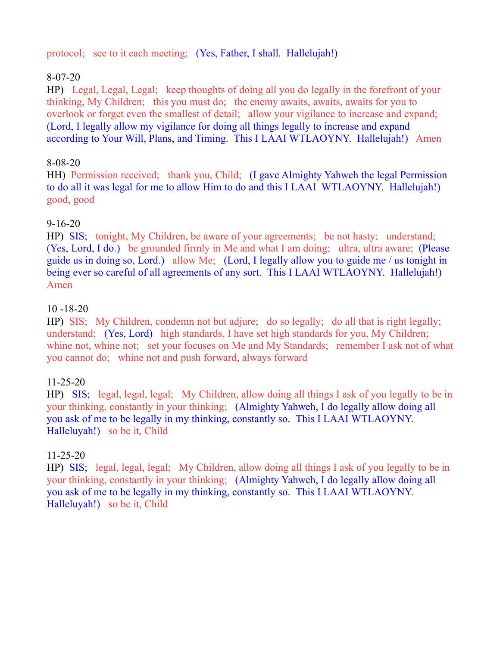protocol; see to it each meeting; (Yes, Father, I shall. Hallelujah!)

# 8-07-20

HP) Legal, Legal, Legal; keep thoughts of doing all you do legally in the forefront of your thinking, My Children; this you must do; the enemy awaits, awaits, awaits for you to overlook or forget even the smallest of detail; allow your vigilance to increase and expand; (Lord, I legally allow my vigilance for doing all things legally to increase and expand according to Your Will, Plans, and Timing. This I LAAI WTLAOYNY. Hallelujah!) Amen

### 8-08-20

HH) Permission received; thank you, Child; (I gave Almighty Yahweh the legal Permission to do all it was legal for me to allow Him to do and this I LAAI WTLAOYNY. Hallelujah!) good, good

# 9-16-20

HP) SIS; tonight, My Children, be aware of your agreements; be not hasty; understand; (Yes, Lord, I do.) be grounded firmly in Me and what I am doing; ultra, ultra aware; (Please guide us in doing so, Lord.) allow Me; (Lord, I legally allow you to guide me / us tonight in being ever so careful of all agreements of any sort. This I LAAI WTLAOYNY. Hallelujah!) Amen

# 10 -18-20

HP) SIS; My Children, condemn not but adjure; do so legally; do all that is right legally; understand; (Yes, Lord) high standards, I have set high standards for you, My Children; whine not, whine not; set your focuses on Me and My Standards; remember I ask not of what you cannot do; whine not and push forward, always forward

### 11-25-20

HP) SIS; legal, legal, legal; My Children, allow doing all things I ask of you legally to be in your thinking, constantly in your thinking; (Almighty Yahweh, I do legally allow doing all you ask of me to be legally in my thinking, constantly so. This I LAAI WTLAOYNY. Halleluyah!) so be it, Child

### 11-25-20

HP) SIS; legal, legal, legal; My Children, allow doing all things I ask of you legally to be in your thinking, constantly in your thinking; (Almighty Yahweh, I do legally allow doing all you ask of me to be legally in my thinking, constantly so. This I LAAI WTLAOYNY. Halleluyah!) so be it, Child